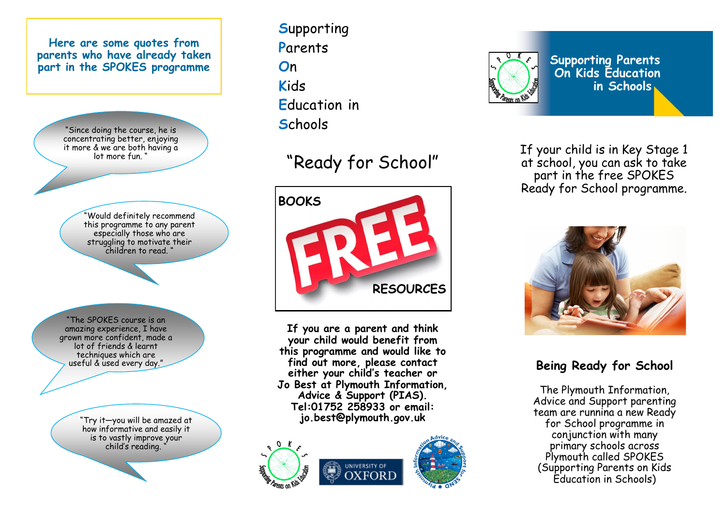

**S**upporting **P**arents **O**n **K**ids **E**ducation in **S**chools

## "Ready for School "



**If you are a parent and think your child would benefit from this programme and would like to find out more, please contact either your child 's teacher or Jo Best at Plymouth Information, Advice & Support (PIAS). Tel:01752 258933 or email: jo.best@plymouth.gov.uk**







**On Kids Education in Schools**

If your child is in Key Stage 1 at school, you can ask to take part in the free SPOKES Ready for School programme.



**Being Ready for School**

The Plymouth Information, Advice and Support parenting team are runnina a new Ready for School programme in conjunction with many primary schools across Plymouth called SPOKES (Supporting Parents on Kids Education in Schools)